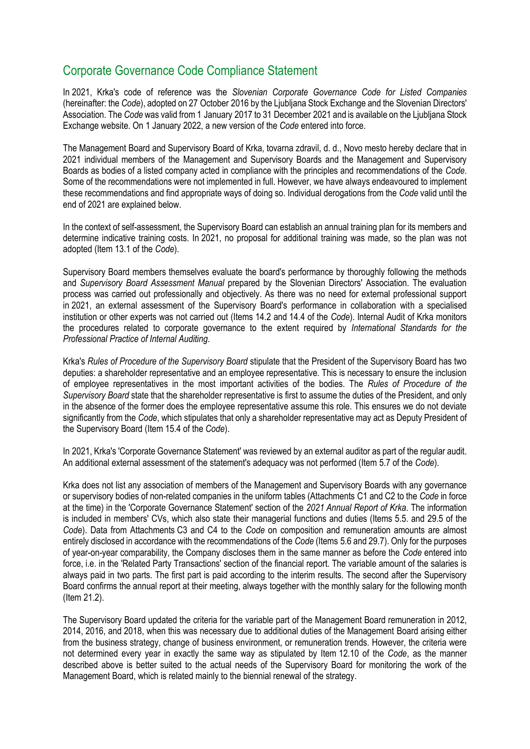## Corporate Governance Code Compliance Statement

In 2021, Krka's code of reference was the *Slovenian Corporate Governance Code for Listed Companies* (hereinafter: the *Code*), adopted on 27 October 2016 by the Ljubljana Stock Exchange and the Slovenian Directors' Association. The *Code* was valid from 1 January 2017 to 31 December 2021 and is available on the Ljubljana Stock Exchange website. On 1 January 2022, a new version of the *Code* entered into force.

The Management Board and Supervisory Board of Krka, tovarna zdravil, d. d., Novo mesto hereby declare that in 2021 individual members of the Management and Supervisory Boards and the Management and Supervisory Boards as bodies of a listed company acted in compliance with the principles and recommendations of the *Code*. Some of the recommendations were not implemented in full. However, we have always endeavoured to implement these recommendations and find appropriate ways of doing so. Individual derogations from the *Code* valid until the end of 2021 are explained below.

In the context of self-assessment, the Supervisory Board can establish an annual training plan for its members and determine indicative training costs. In 2021, no proposal for additional training was made, so the plan was not adopted (Item 13.1 of the *Code*).

Supervisory Board members themselves evaluate the board's performance by thoroughly following the methods and *Supervisory Board Assessment Manual* prepared by the Slovenian Directors' Association. The evaluation process was carried out professionally and objectively. As there was no need for external professional support in 2021, an external assessment of the Supervisory Board's performance in collaboration with a specialised institution or other experts was not carried out (Items 14.2 and 14.4 of the *Code*). Internal Audit of Krka monitors the procedures related to corporate governance to the extent required by *International Standards for the Professional Practice of Internal Auditing*.

Krka's *Rules of Procedure of the Supervisory Board* stipulate that the President of the Supervisory Board has two deputies: a shareholder representative and an employee representative. This is necessary to ensure the inclusion of employee representatives in the most important activities of the bodies. The *Rules of Procedure of the Supervisory Board* state that the shareholder representative is first to assume the duties of the President, and only in the absence of the former does the employee representative assume this role. This ensures we do not deviate significantly from the *Code*, which stipulates that only a shareholder representative may act as Deputy President of the Supervisory Board (Item 15.4 of the *Code*).

In 2021, Krka's 'Corporate Governance Statement' was reviewed by an external auditor as part of the regular audit. An additional external assessment of the statement's adequacy was not performed (Item 5.7 of the *Code*).

Krka does not list any association of members of the Management and Supervisory Boards with any governance or supervisory bodies of non-related companies in the uniform tables (Attachments C1 and C2 to the *Code* in force at the time) in the 'Corporate Governance Statement' section of the *2021 Annual Report of Krka*. The information is included in members' CVs, which also state their managerial functions and duties (Items 5.5. and 29.5 of the *Code*). Data from Attachments C3 and C4 to the *Code* on composition and remuneration amounts are almost entirely disclosed in accordance with the recommendations of the *Code* (Items 5.6 and 29.7). Only for the purposes of year-on-year comparability, the Company discloses them in the same manner as before the *Code* entered into force, i.e. in the 'Related Party Transactions' section of the financial report. The variable amount of the salaries is always paid in two parts. The first part is paid according to the interim results. The second after the Supervisory Board confirms the annual report at their meeting, always together with the monthly salary for the following month (Item 21.2).

The Supervisory Board updated the criteria for the variable part of the Management Board remuneration in 2012, 2014, 2016, and 2018, when this was necessary due to additional duties of the Management Board arising either from the business strategy, change of business environment, or remuneration trends. However, the criteria were not determined every year in exactly the same way as stipulated by Item 12.10 of the *Code*, as the manner described above is better suited to the actual needs of the Supervisory Board for monitoring the work of the Management Board, which is related mainly to the biennial renewal of the strategy.